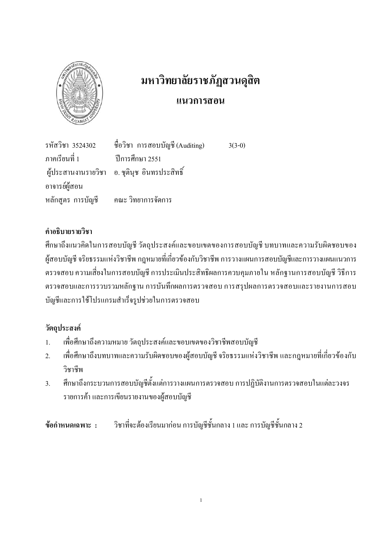

# มหาวิทยาลัยราชภัฏสวนดุสิต

## แนวการสอน

ชื่อวิชา การสอบบัญชี (Auditing) รหัสวิชา 3524302  $3(3-0)$ ึภาคเรียนที่ 1 ปีการศึกษา 2551 ผู้ประสานงานรายวิชา ือ. ชตินช อินทรประสิทธิ์ อาจารย์ผู้สอน หลักสตร การบัญชี ึกณะ วิทยาการจัดการ

## คำอธิบายรายวิชา

ที่กษาถึงแนวคิดในการสอบบัญชี วัตถุประสงค์และขอบเขตของการสอบบัญชี บทบาทและความรับผิดชอบของ ผู้สอบบัญชี จริยธรรมแห่งวิชาชีพ กฎหมายที่เกี่ยวข้องกับวิชาชีพ การวางแผนการสอบบัญชีและการวางแผนแนวการ ้ตรวจสอบ ความเสี่ยงในการสอบบัญชี การประเมินประสิทธิผลการควบคุมภายใน หลักฐานการสอบบัญชี วิธีการ ตรวจสอบและการรวบรวมหลักฐาน การบันทึกผลการตรวจสอบ การสรุปผลการตรวจสอบและรายงานการสอบ บัญชีและการใช้โปรแกรมสำเร็จรูปช่วยในการตรวจสอบ

# วัตถุประสงค์

- เพื่อศึกษาถึงความหมาย วัตถุประสงค์และขอบเขตของวิชาชีพสอบบัญชี  $\mathbf{1}$
- ้ เพื่อศึกษาถึงบทบาทและความรับผิดชอบของผู้สอบบัญชี จริยธรรมแห่งวิชาชีพ และกฎหมายที่เกี่ยวข้องกับ  $\overline{2}$ วิชาชีพ
- ้ศึกษาถึงกระบวนการสอบบัญชีตั้งแต่การวางแผนการตรวจสอบ การปฏิบัติงานการตรวจสอบในแต่ละวงจร  $\overline{3}$ . รายการค้า และการเขียนรายงานของผู้สอบบัญชี

วิชาที่จะต้องเรียนมาก่อน การบัญชีชั้นกลาง 1 และ การบัญชีชั้นกลาง 2 ข้อกำหนดเฉพาะ :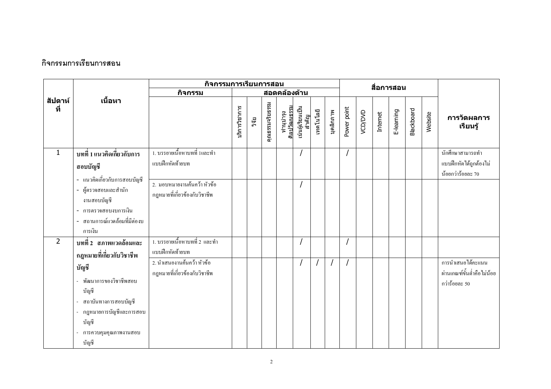### กิจกรรมการเรียนการสอน

|                |                                                                                                                                       | กิจกรรมการเรียนการสอน                                        |               |       |                 |                           |                           |           |           |             |         | สื่อการสอน |            |                   |         |                                                                  |
|----------------|---------------------------------------------------------------------------------------------------------------------------------------|--------------------------------------------------------------|---------------|-------|-----------------|---------------------------|---------------------------|-----------|-----------|-------------|---------|------------|------------|-------------------|---------|------------------------------------------------------------------|
|                |                                                                                                                                       | กิจกรรม                                                      |               |       |                 | สอดคล้องด้าน              |                           |           |           |             |         |            |            |                   |         |                                                                  |
| สัปดาห์<br>ที่ | เนื้อหา                                                                                                                               |                                                              | บริการวิชาการ | วิจัย | คุณธรรมจริยธรรม | ทำนุบำรุง<br>ศิลปวัฒนธรรม | เน้นผู้เรียนเป็น<br>สำคัญ | เทคโนโลยี | บุคลิกภาพ | Power point | VCD/DVD | Internet   | E-learning | <b>Blackboard</b> | Website | การวัดผลการ<br>เรียนรู้                                          |
| $\mathbf{1}$   | ิบทที่ 1 แนวคิดเกี่ยวกับการ<br>สอบบัญชี<br>- แนวคิดเกี่ยวกับการสอบบัญชี                                                               | 1. บรรยายเนื้อหาบทที่ 1และทำ<br>แบบฝึกหัดท้ายบท              |               |       |                 |                           |                           |           |           |             |         |            |            |                   |         | นักศึกษาสามารถทำ<br>แบบฝึกหัดใค้ถูกต้องไม่<br>น้อยกว่าร้อยละ 70  |
|                | - ผู้ตรวจสอบและสำนัก<br>งานสอบบัญชี<br>- การตรวจสอบงบการเงิน<br>- สถานการณ์แวดล้อมที่มีต่องบ<br>การเงิน                               | 2. มอบหมายงานค้นคว้า หัวข้อ<br>กฎหมายที่เกี่ยวข้องกับวิชาชีพ |               |       |                 |                           |                           |           |           |             |         |            |            |                   |         |                                                                  |
| $\overline{2}$ | บทที่ 2 สภาพแวดล้อมและ<br>กฎหมายที่เกี่ยวกับวิชาชีพ                                                                                   | 1. บรรยายเนื้อหาบทที่ 2 และทำ<br>แบบฝึกหัดท้ายบท             |               |       |                 |                           |                           |           |           |             |         |            |            |                   |         |                                                                  |
|                | บัญชี<br>พัฒนาการของวิชาชีพสอบ<br>บัญชี<br>สถาบันทางการสอบบัญชี<br>กฎหมายการบัญชีและการสอบ<br>บัญชี<br>การควบคุมคุณภาพงานสอบ<br>บัญชี | 2. นำเสนองานค้นคว้า หัวข้อ<br>กฎหมายที่เกี่ยวข้องกับวิชาชีพ  |               |       |                 |                           |                           |           |           |             |         |            |            |                   |         | การนำเสนอได้คะแนน<br>ผ่านเกณฑ์ขั้นต่ำคือไม่น้อย<br>กว่าร้อยละ 50 |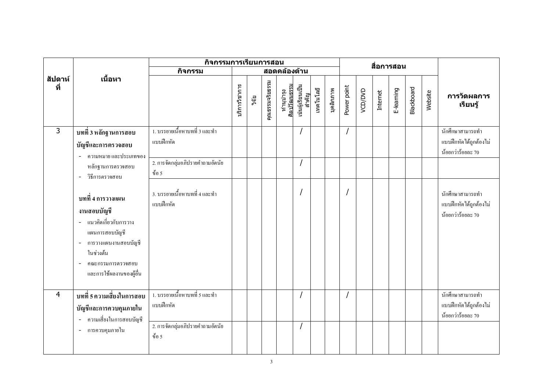|                |                                                                                                                                                                                        | กิจกรรมการเรียนการสอน                      |               |       |                 |                           |                           |           |           | สื่อการสอน  |         |          |            |            |         |                                                                           |
|----------------|----------------------------------------------------------------------------------------------------------------------------------------------------------------------------------------|--------------------------------------------|---------------|-------|-----------------|---------------------------|---------------------------|-----------|-----------|-------------|---------|----------|------------|------------|---------|---------------------------------------------------------------------------|
|                |                                                                                                                                                                                        | กิจกรรม                                    |               |       |                 | สอดคล้องด้าน              |                           |           |           |             |         |          |            |            |         |                                                                           |
| สัปดาห์<br>ที่ | เนื้อหา                                                                                                                                                                                |                                            | บริการวิชาการ | วิจัย | คุณธรรมจริยธรรม | ทำนุบำรุง<br>ศิลปวัฒนธรรม | เน้นผู้เรียนเป็น<br>สำคัญ | เทคโนโลยี | บุคลิกภาพ | Power point | VCD/DVD | Internet | E-learning | Blackboard | Website | การวัดผลการ<br>เรียนรู้                                                   |
| 3              | บทที่ 3 หลักฐานการสอบ<br>บัญชีและการตรวจสอบ<br>ความหมาย และประเภทของ                                                                                                                   | 1. บรรยายเนื้อหาบทที่ 3 และทำ<br>แบบฝึกหัด |               |       |                 |                           |                           |           |           |             |         |          |            |            |         | นักศึกษาสามารถทำ<br>แบบฝึกหัดได้ถูกต้องไม่<br>น้อยกว่าร้อยละ 70           |
|                | หลักฐานการตรวจสอบ<br>วิธีการตรวจสอบ<br>$\blacksquare$                                                                                                                                  | 2. การจัดกลุ่มอภิปรายคำถามอัตนัย<br>ข้อ 5  |               |       |                 |                           |                           |           |           |             |         |          |            |            |         |                                                                           |
|                | ีบทที่ 4 การวางแผน<br>งานสอบบัญชี<br>- แนวคิดเกี่ยวกับการวาง<br>แผนการสอบบัญชี<br>การวางแผนงานสอบบัญชี<br>$\blacksquare$<br>ในช่วงต้น<br>คณะกรรมการตรวจสอบ<br>และการใช้ผลงานของผู้อื่น | 3. บรรยายเนื้อหาบทที่ 4 และทำ<br>แบบฝึกหัด |               |       |                 |                           |                           |           |           |             |         |          |            |            |         | นักศึกษาสามารถทำ<br>แบบฝึกหัดได้ถูกต้องไม่<br>น้อยกว่าร้อยละ 70           |
| 4              | ้บทที่ 5 ความเสี่ยงในการสอบ<br>บัญชีและการควบคุมภายใน<br>- ความเสี่ยงในการสอบบัญชี                                                                                                     | 1. บรรยายเนื้อหาบทที่ 5 และทำ<br>แบบฝึกหัด |               |       |                 |                           |                           |           |           |             |         |          |            |            |         | <u>ี้ นักศึกษาสามารถทำ</u><br>แบบฝึกหัดใค้ถูกต้องไม่<br>น้อยกว่าร้อยละ 70 |
|                | - การควบคุมภายใน                                                                                                                                                                       | 2. การจัดกลุ่มอภิปรายคำถามอัตนัย<br>ข้อ 5  |               |       |                 |                           |                           |           |           |             |         |          |            |            |         |                                                                           |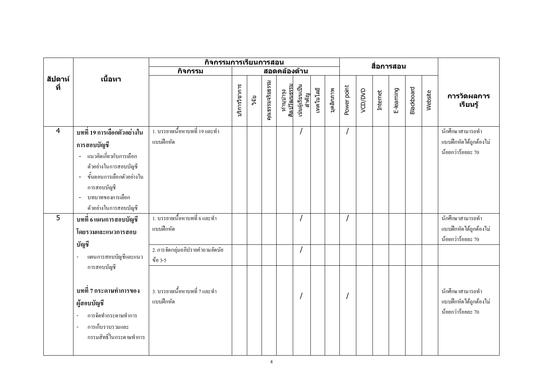|                |                                                                                                                                                                                                                                | ์กิจกรรมการเรียนการสอน                                                         |               |       |                 |                           |                           |           |           |             |         | สื่อการสอน |            |                   |         |                                                                 |
|----------------|--------------------------------------------------------------------------------------------------------------------------------------------------------------------------------------------------------------------------------|--------------------------------------------------------------------------------|---------------|-------|-----------------|---------------------------|---------------------------|-----------|-----------|-------------|---------|------------|------------|-------------------|---------|-----------------------------------------------------------------|
|                |                                                                                                                                                                                                                                | กิจกรรม                                                                        |               |       |                 | สอดคล้องด้าน              |                           |           |           |             |         |            |            |                   |         |                                                                 |
| สัปดาห์<br>ที่ | เนื้อหา                                                                                                                                                                                                                        |                                                                                | บริการวิชาการ | วิจัย | คุณธรรมจริยธรรม | ทำนุบำรุง<br>ศิลปวัฒนธรรม | เน้นผู้เรียนเป็น<br>สำคัญ | เทคโนโลยี | บุคลิกภาพ | Power point | VCD/DVD | Internet   | E-learning | <b>Blackboard</b> | Website | การวัดผลการ<br>เรียนรู้                                         |
| 4              | ิบทที่ 19 การเลือกตัวอย่างใน<br>การสอบบัญชี<br>- แนวคิดเกี่ยวกับการเลือก<br>ตัวอย่างในการสอบบัญชี<br>ขั้นตอนการเลือกตัวอย่างใน<br>$\overline{a}$<br>การสอบบัญชี<br>บทบาทของการเลือก<br>$\blacksquare$<br>ตัวอย่างในการสอบบัญชี | 1. บรรยายเนื้อหาบทที่ 19 และทำ<br>แบบฝึกหัด                                    |               |       |                 |                           |                           |           |           |             |         |            |            |                   |         | นักศึกษาสามารถทำ<br>แบบฝึกหัดได้ถูกต้องไม่<br>น้อยกว่าร้อยละ 70 |
| 5              | ิบทที่ 6 แผนการสอบบัญชี<br>โดยรวมและแนวการสอบ<br>บัญชี                                                                                                                                                                         | 1. บรรยายเนื้อหาบทที่ 6 และทำ<br>แบบฝึกหัด<br>2. การจัดกลุ่มอภิปรายคำถามอัตนัย |               |       |                 |                           |                           |           |           |             |         |            |            |                   |         | นักศึกษาสามารถทำ<br>แบบฝึกหัดใค้ถูกต้องไม่<br>น้อยกว่าร้อยละ 70 |
|                | แผนการสอบบัญชีและแนว<br>$\overline{\phantom{a}}$<br>การสอบบัญชี<br>บทที่ 7 กระดาษทำการของ<br>ผู้สอบบัญชี<br>การจัดทำกระดาษทำการ<br>การเก็บรวบรวมและ<br>$\overline{\phantom{a}}$<br>กรรมสิทธิ์ในกระคาษทำการ                     | ข้อ 3-5<br>3. บรรยายเนื้อหาบทที่ 7 และทำ<br>แบบฝึกหัด                          |               |       |                 |                           |                           |           |           |             |         |            |            |                   |         | นักศึกษาสามารถทำ<br>แบบฝึกหัดได้ถูกต้องไม่<br>น้อยกว่าร้อยละ 70 |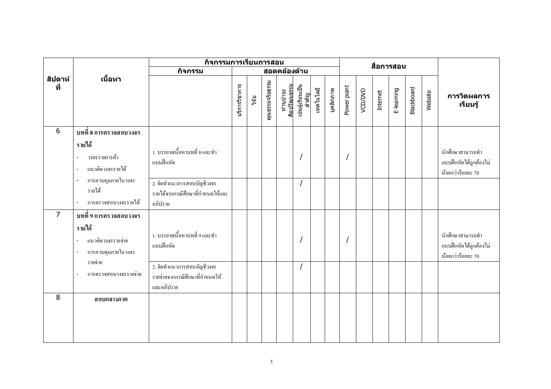|                |                                                                                                                   | ีกิจกรรมการเรียนการสอน<br>สื่อการสอน<br>สอดคล้องด้าน                       |               |       |                 |                           |                           |           |           |             |         |          |            |            |         |                                                                 |
|----------------|-------------------------------------------------------------------------------------------------------------------|----------------------------------------------------------------------------|---------------|-------|-----------------|---------------------------|---------------------------|-----------|-----------|-------------|---------|----------|------------|------------|---------|-----------------------------------------------------------------|
|                |                                                                                                                   | กิจกรรม                                                                    |               |       |                 |                           |                           |           |           |             |         |          |            |            |         |                                                                 |
| สัปดาห์<br>ที่ | เนื้อหา                                                                                                           |                                                                            | บริการวิชาการ | วิจัย | คุณธรรมจริยธรรม | ทำนุบำรุง<br>ศิลปวัฒนธรรม | เน้นผู้เรียนเป็น<br>สำคัญ | เทคโนโลยี | บุคลิกภาพ | Power point | VCD/DVD | Internet | E-learning | Blackboard | Website | การวัดผลการ<br>เรียนรู้                                         |
| 6              | บทที่ 8 การตรวจสอบวงจร                                                                                            |                                                                            |               |       |                 |                           |                           |           |           |             |         |          |            |            |         |                                                                 |
|                | รายได้<br>วงจรรายการค้า<br>$\overline{a}$<br>แนวคิดวงจรรายได้<br>$\overline{\phantom{a}}$                         | 1. บรรยายเนื้อหาบทที่ 8 และทำ<br>แบบฝึกหัด                                 |               |       |                 |                           |                           |           |           |             |         |          |            |            |         | นักศึกษาสามารถทำ<br>แบบฝึกหัดได้ถูกต้องไม่<br>น้อยกว่าร้อยละ 70 |
|                | การควบคุมภายในวงจร<br>$\sim$<br>รายได้<br>การตรวจสอบวงจรรายใด้<br>$\omega$                                        | 2. จัดทำแนวการสอบบัญชีวงจร<br>รายได้จากกรณีศึกษาที่กำหนดให้และ<br>อภิปราย  |               |       |                 |                           |                           |           |           |             |         |          |            |            |         |                                                                 |
| $\overline{7}$ | บทที่ 9 การตรวจสอบวงจร<br>รายได้<br>แนวคิดวงจรรายจ่าย<br>$\overline{\phantom{a}}$<br>การควบคุมภายในวงจร<br>$\sim$ | 1. บรรยายเนื้อหาบทที่ 9 และทำ<br>แบบฝึกหัด                                 |               |       |                 |                           |                           |           |           |             |         |          |            |            |         | นักศึกษาสามารถทำ<br>แบบฝึกหัดใค้ถูกต้องไม่<br>น้อยกว่าร้อยละ 70 |
|                | รายจ่าย<br>การตรวจสอบวงจรรายจ่าย                                                                                  | 2. จัดทำแนวการสอบบัญชีวงจร<br>รายจ่ายจากกรณีศึกษาที่กำหนดให้<br>และอภิปราย |               |       |                 |                           |                           |           |           |             |         |          |            |            |         |                                                                 |
| 8              | สอบกลางภาค                                                                                                        |                                                                            |               |       |                 |                           |                           |           |           |             |         |          |            |            |         |                                                                 |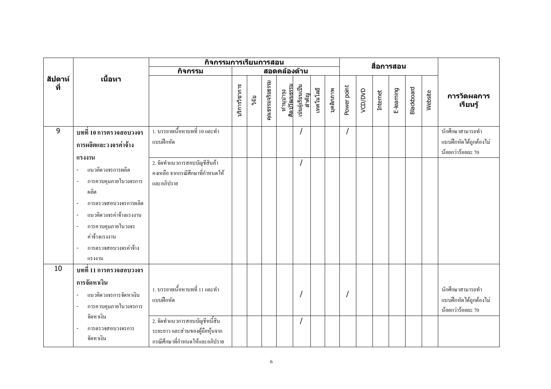|                |                                                                                                                                                                                                                                                                                | กิจกรรมการเรียนการสอน                                                                                                                             |               |       |                 |              |                                                        |           |           | สื่อการสอน  |         |          |            |            |         |                                                                 |
|----------------|--------------------------------------------------------------------------------------------------------------------------------------------------------------------------------------------------------------------------------------------------------------------------------|---------------------------------------------------------------------------------------------------------------------------------------------------|---------------|-------|-----------------|--------------|--------------------------------------------------------|-----------|-----------|-------------|---------|----------|------------|------------|---------|-----------------------------------------------------------------|
|                |                                                                                                                                                                                                                                                                                | กิจกรรม                                                                                                                                           |               |       |                 | สอดคล้องด้าน |                                                        |           |           |             |         |          |            |            |         |                                                                 |
| สัปดาห์<br>ที่ | เนื้อหา                                                                                                                                                                                                                                                                        |                                                                                                                                                   | บริการวิชาการ | วิจัย | คุณธรรมจริยธรรม |              | ทำนุบำรุง<br>ศิลปวัฒนธรรม<br>เน้นผู้เรียนเป็น<br>สำคัญ | เทคโนโลยี | บุคลิกภาพ | Power point | VCD/DVD | Internet | E-learning | Blackboard | Website | การวัดผลการ<br>เรียนรู้                                         |
| 9              | บทที่ 10 การตรวจสอบวงจร                                                                                                                                                                                                                                                        | 1. บรรยายเนื้อหาบทที่ 10 และทำ                                                                                                                    |               |       |                 |              |                                                        |           |           |             |         |          |            |            |         | นักศึกษาสามารถทำ                                                |
|                | ึการผลิตและวงจรค่าจ้าง                                                                                                                                                                                                                                                         | แบบฝึกหัด                                                                                                                                         |               |       |                 |              |                                                        |           |           |             |         |          |            |            |         | แบบฝึกหัดได้ถูกต้องไม่<br>น้อยกว่าร้อยละ 70                     |
|                | แรงงาน<br>แนวคิดวงจรการผลิต<br>การควบคุมภายในวงจรการ<br>$\overline{\phantom{a}}$<br>ผลิต<br>การตรวจสอบวงจรการผลิต<br>แนวคิดวงจรค่าจ้างแรงงาน<br>$\overline{\phantom{a}}$<br>การควบคุมภายในวงจร<br>$\overline{\phantom{a}}$<br>ค่าจ้างแรงงาน<br>การตรวจสอบวงจรค่าจ้าง<br>แรงงาน | 2. จัดทำแนวการสอบบัญชีสินค้า<br>้คงเหลือ จากกรณีศึกษาที่กำหนดให้<br>และอภิปราย                                                                    |               |       |                 |              |                                                        |           |           |             |         |          |            |            |         |                                                                 |
| 10             | บทที่ 11 การตรวจสอบวงจร<br>การจัดหาเงิน<br>แนวคิดวงจรการจัดหาเงิน<br>การควบคุมภายในวงจรการ<br>$\overline{\phantom{a}}$<br>จัดหาเงิน<br>การตรวจสอบวงจรการ<br>จัดหาเงิน                                                                                                          | 1. บรรยายเนื้อหาบทที่ 11 และทำ<br>แบบฝึกหัด<br>2. จัดทำแนวการสอบบัญชีหนี้สิน<br>ระยะยาว และส่วนของผู้ถือหุ้นจาก<br>กรณีศึกษาที่กำหนดให้และอภิปราย |               |       |                 |              |                                                        |           |           |             |         |          |            |            |         | นักศึกษาสามารถทำ<br>แบบฝึกหัดได้ถูกต้องไม่<br>น้อยกว่าร้อยละ 70 |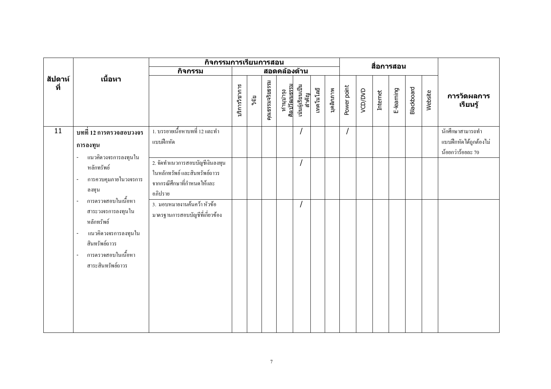|                |                                                                                                                                                                                                                                               | กิจกรรมการเรียนการสอน                                                                                     |               |       |                 |                           |                           |           |           | สื่อการสอน  |         |          |            |            |         |                                                                 |
|----------------|-----------------------------------------------------------------------------------------------------------------------------------------------------------------------------------------------------------------------------------------------|-----------------------------------------------------------------------------------------------------------|---------------|-------|-----------------|---------------------------|---------------------------|-----------|-----------|-------------|---------|----------|------------|------------|---------|-----------------------------------------------------------------|
|                |                                                                                                                                                                                                                                               | กิจกรรม                                                                                                   |               |       |                 | สอดคล้องด้าน              |                           |           |           |             |         |          |            |            |         |                                                                 |
| สัปดาห์<br>ที่ | เนื้อหา                                                                                                                                                                                                                                       |                                                                                                           | บริการวิชาการ | วิจัย | คุณธรรมจริยธรรม | ทำนุบำรุง<br>ศิลปวัฒนธรรม | เน้นผู้เรียนเป็น<br>สำคัญ | เทคโนโลยี | บุคลิกภาพ | Power point | VCD/DVD | Internet | E-learning | Blackboard | Website | การวัดผลการ<br>เรียนรู้                                         |
| 11             | บทที่ 12 การตรวจสอบวงจร<br>การลงทุน<br>แนวคิดวงจรการลงทุนใน<br>$\overline{\phantom{a}}$                                                                                                                                                       | 1. บรรยายเนื้อหาบทที่ 12 และทำ<br>แบบฝึกหัด                                                               |               |       |                 |                           |                           |           |           |             |         |          |            |            |         | นักศึกษาสามารถทำ<br>แบบฝึกหัดใค้ถูกต้องไม่<br>น้อยกว่าร้อยละ 70 |
|                | หลักทรัพย์<br>การควบคุมภายในวงจรการ<br>$\overline{\phantom{a}}$<br>ิลงทุน                                                                                                                                                                     | 2. จัดทำแนวการสอบบัญชีเงินลงทุน<br>ในหลักทรัพย์ และสินทรัพย์ถาวร<br>จากกรณีศึกษาที่กำหนดให้และ<br>อภิปราย |               |       |                 |                           |                           |           |           |             |         |          |            |            |         |                                                                 |
|                | การตรวจสอบในเนื้อหา<br>$\overline{\phantom{a}}$<br>สาระวงจรการลงทุนใน<br>หลักทรัพย์<br>แนวคิดวงจรการลงทุนใน<br>$\overline{\phantom{a}}$<br>สินทรัพย์ถาวร<br><sub>ิ</sub> การตรวจสอบในเนื้อหา<br>$\overline{\phantom{a}}$<br>สาระสินทรัพย์ถาวร | 3. มอบหมายงานค้นคว้า หัวข้อ<br>มาตรฐานการสอบบัญชีที่เกี่ยวข้อง                                            |               |       |                 |                           | $\overline{I}$            |           |           |             |         |          |            |            |         |                                                                 |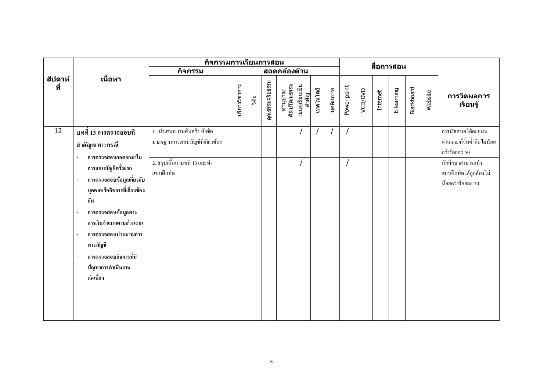|                |                                                                           | กิจกรรมการเรียนการสอน           |               |       |                 |                           |                           |           |                | สื่อการสอน  |         |          |            |                   |         |                            |
|----------------|---------------------------------------------------------------------------|---------------------------------|---------------|-------|-----------------|---------------------------|---------------------------|-----------|----------------|-------------|---------|----------|------------|-------------------|---------|----------------------------|
|                |                                                                           | กิจกรรม                         |               |       |                 |                           | สอดคล้องด้าน              |           |                |             |         |          |            |                   |         |                            |
| สัปดาห์<br>ที่ | เนื้อหา                                                                   |                                 | บริการวิชาการ | วิจัย | คุณธรรมจริยธรรม | ทำนุบำรุง<br>ศิลปวัฒนธรรม | เน้นผู้เรียนเป็น<br>สำคัญ | เทคโนโลยี | บุคลิกภาพ      | Power point | VCD/DVD | Internet | E-learning | <b>Blackboard</b> | Website | การวัดผลการ<br>เรียนรู้    |
| 12             | ิบทที่ 13 การตรวจสอบที่                                                   | 1. นำเสนอ งานค้นคว้า หัวข้อ     |               |       |                 |                           | $\prime$                  |           | $\overline{1}$ |             |         |          |            |                   |         | การนำเสนอได้คะแนน          |
|                | สำคัญเฉพาะกรณี                                                            | มาตรฐานการสอบบัญชีที่เกี่ยวข้อง |               |       |                 |                           |                           |           |                |             |         |          |            |                   |         | ผ่านเกณฑ์ขั้นต่ำคือไม่น้อย |
|                | การตรวจสอบยอดยกมาใน<br>$\overline{a}$                                     |                                 |               |       |                 |                           |                           |           |                |             |         |          |            |                   |         | กว่าร้อยละ 50              |
|                | การสอบบัญชีครั้งแรก                                                       | 2. สรุปเนื้อหาบทที่ 13 และทำ    |               |       |                 |                           |                           |           |                |             |         |          |            |                   |         | นักศึกษาสามารถทำ           |
|                | การตรวจสอบข้อมูลเกี่ยวกับ                                                 | แบบฝึกหัด                       |               |       |                 |                           |                           |           |                |             |         |          |            |                   |         | แบบฝึกหัดใค้ถูกต้องไม่     |
|                | บุคคลหรือกิจการที่เกี่ยวข้อง                                              |                                 |               |       |                 |                           |                           |           |                |             |         |          |            |                   |         | น้อยกว่าร้อยละ 70          |
|                | กัน                                                                       |                                 |               |       |                 |                           |                           |           |                |             |         |          |            |                   |         |                            |
|                |                                                                           |                                 |               |       |                 |                           |                           |           |                |             |         |          |            |                   |         |                            |
|                | การตรวจสอบข้อมูลทาง<br>$\overline{\phantom{a}}$<br>การเงินจำแนกตามส่วนงาน |                                 |               |       |                 |                           |                           |           |                |             |         |          |            |                   |         |                            |
|                |                                                                           |                                 |               |       |                 |                           |                           |           |                |             |         |          |            |                   |         |                            |
|                | การตรวจสอบประมาณการ<br>$\sim$                                             |                                 |               |       |                 |                           |                           |           |                |             |         |          |            |                   |         |                            |
|                | ทางบัญชี                                                                  |                                 |               |       |                 |                           |                           |           |                |             |         |          |            |                   |         |                            |
|                | การตรวจสอบกิจการที่มี                                                     |                                 |               |       |                 |                           |                           |           |                |             |         |          |            |                   |         |                            |
|                | ปัญหาการดำเนินงาน                                                         |                                 |               |       |                 |                           |                           |           |                |             |         |          |            |                   |         |                            |
|                | ต่อเนื่อง                                                                 |                                 |               |       |                 |                           |                           |           |                |             |         |          |            |                   |         |                            |
|                |                                                                           |                                 |               |       |                 |                           |                           |           |                |             |         |          |            |                   |         |                            |
|                |                                                                           |                                 |               |       |                 |                           |                           |           |                |             |         |          |            |                   |         |                            |
|                |                                                                           |                                 |               |       |                 |                           |                           |           |                |             |         |          |            |                   |         |                            |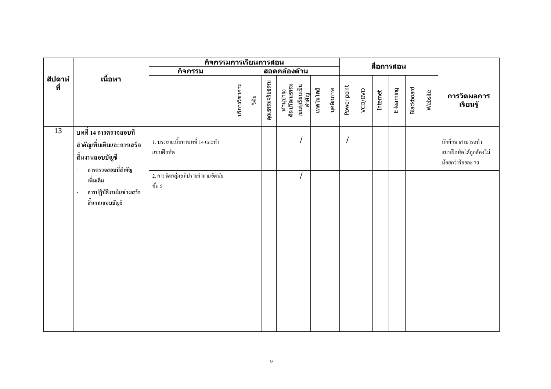|                |                                                                                              | กิจกรรมการเรียนการสอน                       |               |       |                 |                           |                           |           |           |             |         | สื่อการสอน |            |            |         |                                                                 |
|----------------|----------------------------------------------------------------------------------------------|---------------------------------------------|---------------|-------|-----------------|---------------------------|---------------------------|-----------|-----------|-------------|---------|------------|------------|------------|---------|-----------------------------------------------------------------|
|                |                                                                                              | กิจกรรม                                     |               |       |                 | สอดคล้องด้าน              |                           |           |           |             |         |            |            |            |         |                                                                 |
| สัปดาห์<br>ที่ | เนื้อหา                                                                                      |                                             | บริการวิชาการ | วิจัย | คุณธรรมจริยธรรม | ทำนุบำรุง<br>ศิลปวัฒนธรรม | เน้นผู้เรียนเป็น<br>สำคัญ | เทคโนโลยี | บุคลิกภาพ | Power point | VCD/DVD | Internet   | E-learning | Blackboard | Website | การวัดผลการ<br>เรียนรู้                                         |
| 13             | บทที่ 14 การตรวจสอบที่<br>สำคัญเพิ่มเติมและการเสร็จ<br>สิ้นงานสอบบัญชี<br>การตรวจสอบที่สำคัญ | 1. บรรยายเนื้อหาบทที่ 14 และทำ<br>แบบฝึกหัด |               |       |                 |                           | $\overline{1}$            |           |           |             |         |            |            |            |         | นักศึกษาสามารถทำ<br>แบบฝึกหัดใด้ถูกต้องไม่<br>น้อยกว่าร้อยละ 70 |
|                | เพิ่มเติม<br>การปฏิบัติงานในช่วงเสร็จ<br>$\overline{\phantom{a}}$<br>สิ้นงานสอบบัญชี         | 2. การจัดกลุ่มอภิปรายคำถามอัตนัย<br>ข้อ 5   |               |       |                 |                           | $\prime$                  |           |           |             |         |            |            |            |         |                                                                 |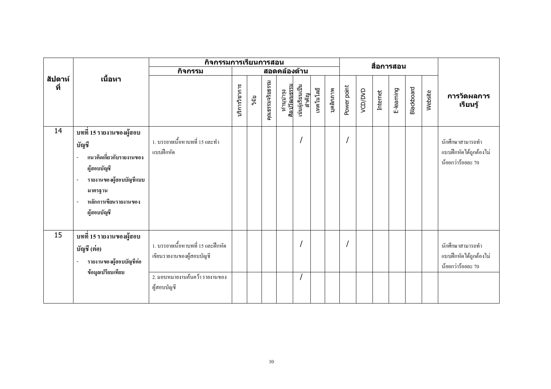|                |                                                                                                                                                            | กิจกรรมการเรียนการสอน<br>สื่อการสอน                                                               |               |       |                 |                           |                           |           |           |             |         |          |            |                   |         |                                                                 |
|----------------|------------------------------------------------------------------------------------------------------------------------------------------------------------|---------------------------------------------------------------------------------------------------|---------------|-------|-----------------|---------------------------|---------------------------|-----------|-----------|-------------|---------|----------|------------|-------------------|---------|-----------------------------------------------------------------|
|                |                                                                                                                                                            | กิจกรรม                                                                                           |               |       |                 | สอดคล้องด้าน              |                           |           |           |             |         |          |            |                   |         |                                                                 |
| สัปดาห์<br>ที่ | เนื้อหา                                                                                                                                                    |                                                                                                   | บริการวิชาการ | วิจัย | คุณธรรมจริยธรรม | ทำนุบำรุง<br>ศิลปวัฒนธรรม | เน้นผู้เรียนเป็น<br>สำคัญ | เทคโนโลยี | บุคลิกภาพ | Power point | VCD/DVD | Internet | E-learning | <b>Blackboard</b> | Website | การวัดผลการ<br>เรียนรู้                                         |
| 14             | บทที่ 15 รายงานของผู้สอบ<br>บัญชี<br>แนวคิดเกี่ยวกับรายงานของ<br>ผู้สอบบัญชี<br>รายงานของผู้สอบบัญชีแบบ<br>มาตรฐาน<br>หลักการเขียนรายงานของ<br>ผู้สอบบัญชี | 1. บรรยายเนื้อหาบทที่ 15 และทำ<br>แบบฝึกหัด                                                       |               |       |                 |                           |                           |           |           |             |         |          |            |                   |         | นักศึกษาสามารถทำ<br>แบบฝึกหัดได้ถูกต้องไม่<br>น้อยกว่าร้อยละ 70 |
| 15             | บทที่ 15 รายงานของผู้สอบ<br>บัญชี (ต่อ)<br>รายงานของผู้สอบบัญชีต่อ<br>ข้อมูลเปรียบเทียบ                                                                    | 1. บรรยายเนื้อหาบทที่ 15 และฝึกหัด<br>เขียนรายงานของผู้สอบบัญชี<br>2. มอบหมายงานค้นคว้า รายงานของ |               |       |                 |                           |                           |           |           |             |         |          |            |                   |         | นักศึกษาสามารถทำ<br>แบบฝึกหัดใค้ถูกต้องไม่<br>น้อยกว่าร้อยละ 70 |
|                |                                                                                                                                                            | ผู้สอบบัญชี                                                                                       |               |       |                 |                           |                           |           |           |             |         |          |            |                   |         |                                                                 |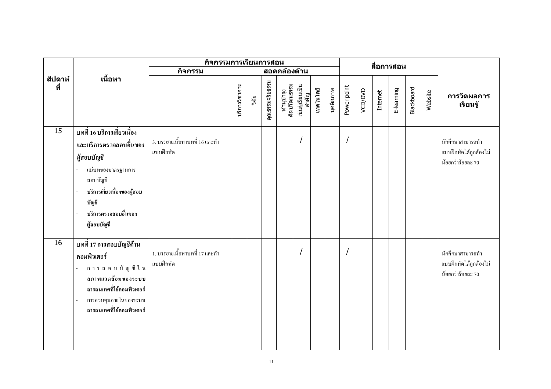|                |                                                                                                                                                                                                       | กิจกรรมการเรียนการสอน                       |               |       |                 |              |                                                        |           |           |             |         | สื่อการสอน |            |                   |         |                                                                 |
|----------------|-------------------------------------------------------------------------------------------------------------------------------------------------------------------------------------------------------|---------------------------------------------|---------------|-------|-----------------|--------------|--------------------------------------------------------|-----------|-----------|-------------|---------|------------|------------|-------------------|---------|-----------------------------------------------------------------|
|                |                                                                                                                                                                                                       | กิจกรรม                                     |               |       |                 | สอดคล้องด้าน |                                                        |           |           |             |         |            |            |                   |         |                                                                 |
| สัปดาห์<br>ที่ | เนื้อหา                                                                                                                                                                                               |                                             | บริการวิชาการ | วิจัย | คุณธรรมจริยธรรม |              | ทำนุบำรุง<br>ศิลปวัฒนธรรม<br>เน้นผู้เรียนเป็น<br>สำคัญ | เทคโนโลยี | บุคลิกภาพ | Power point | VCD/DVD | Internet   | E-learning | <b>Blackboard</b> | Website | การวัดผลการ<br>เรียนรู้                                         |
| 15             | บทที่ 16 บริการเกี่ยวเนื่อง<br>และบริการตรวจสอบอื่นของ<br>ผู้สอบบัญชี<br>แม่บทของมาตรฐานการ<br>สอบบัญชี<br>บริการเกี่ยวเนื่องของผู้สอบ<br>บัญชี<br>บริการตรวจสอบอื่นของ<br>ผู้สอบบัญชี                | 3. บรรยายเนื้อหาบทที่ 16 และทำ<br>แบบฝึกหัด |               |       |                 |              | $\prime$                                               |           |           |             |         |            |            |                   |         | นักศึกษาสามารถทำ<br>แบบฝึกหัดได้ถูกต้องไม่<br>น้อยกว่าร้อยละ 70 |
| 16             | บทที่ 17 การสอบบัญชีด้าน<br>คอมพิวเตอร์<br>การสอบบัญชีใน<br>$\overline{\phantom{a}}$<br>สภาพแวดล้อมของระบบ<br>สารสนเทศที่ใช้คอมพิวเตอร์<br>การควบคุมภายในของ <b>ระบบ</b><br>สารสนเทศที่ใช้คอมพิวเตอร์ | 1. บรรยายเนื้อหาบทที่ 17 และทำ<br>แบบฝึกหัด |               |       |                 |              |                                                        |           |           |             |         |            |            |                   |         | นักศึกษาสามารถทำ<br>แบบฝึกหัดใค้ถูกต้องไม่<br>น้อยกว่าร้อยละ 70 |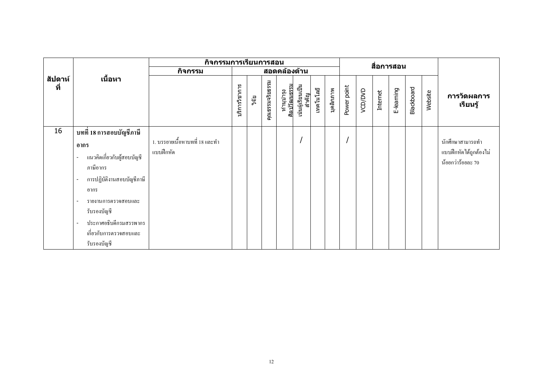|                |                                                                                                                                                                                                                                                                                           |                                             |               |       | ี้กิจกรรมการเรียนการสอน |                           |                           |           |           |             |         | สื่อการสอน |            |                   |         |                                                                 |
|----------------|-------------------------------------------------------------------------------------------------------------------------------------------------------------------------------------------------------------------------------------------------------------------------------------------|---------------------------------------------|---------------|-------|-------------------------|---------------------------|---------------------------|-----------|-----------|-------------|---------|------------|------------|-------------------|---------|-----------------------------------------------------------------|
|                |                                                                                                                                                                                                                                                                                           | กิจกรรม                                     |               |       |                         | ีสอดคล้องด้าน             |                           |           |           |             |         |            |            |                   |         |                                                                 |
| สัปดาห์<br>ที่ | เนื้อหา                                                                                                                                                                                                                                                                                   |                                             | บริการวิชาการ | วิจัย | คุณธรรมจริยธรรม         | ทำนุบำรุง<br>ศิลปวัฒนธรรม | เน้นผู้เรียนเป็น<br>สำคัญ | เทคโนโลยี | บุคลิกภาพ | Power point | VCD/DVD | Internet   | E-learning | <b>Blackboard</b> | Website | การวัดผลการ<br>เรียนรู้                                         |
| 16             | ิบทที่ 18 การสอบบัญชีภาษี<br>อากร<br>แนวคิดเกี่ยวกับผู้สอบบัญชี<br>$\overline{a}$<br>ภาษีอากร<br>การปฏิบัติงานสอบบัญชีภาษี<br>อากร<br>รายงานการตรวจสอบและ<br>$\overline{\phantom{a}}$<br>รับรองบัญชี<br>ประกาศอธิบดีกรมสรรพากร<br>$\blacksquare$<br>เกี่ยวกับการตรวจสอบและ<br>รับรองบัญชี | 1. บรรยายเนื้อหาบทที่ 18 และทำ<br>แบบฝึกหัด |               |       |                         |                           |                           |           |           |             |         |            |            |                   |         | นักศึกษาสามารถทำ<br>แบบฝึกหัดได้ถูกต้องไม่<br>น้อยกว่าร้อยละ 70 |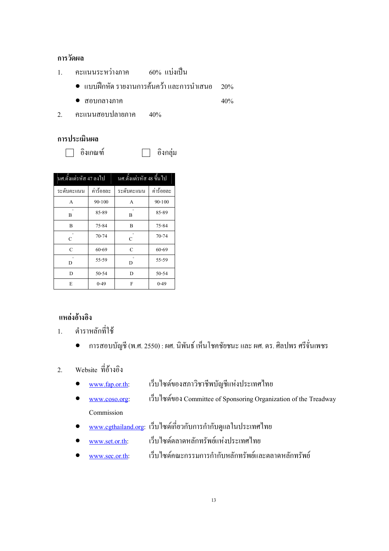#### การวัดผล

- คะแนนระหว่างภาค 60% แบ่งเป็น  $\overline{1}$ .
	- แบบฝึกหัด รายงานการค้นคว้า และการนำเสนอ  $20%$
	- $\bullet$  สอบกลางภาค  $40%$
- คะแนนสอบปลายภาค 2.  $40%$

#### การประเมินผล

□ อิงเกณฑ์

อิงกลุ่ม

| นศ.ตั้งแต่รหัส 47 ลงไป |            | นศ.ตั้งแต่รหัส 48 ขึ้น ไป |            |
|------------------------|------------|---------------------------|------------|
| ระดับคะแนน             | ค่าร้อยละ  | ระดับคะแนน                | ค่าร้อยละ  |
| A                      | $90 - 100$ | $\mathsf{A}$              | $90 - 100$ |
| $\overline{B}$         | 85-89      | $\ddot{}$<br>B            | 85-89      |
| B                      | 75-84      | B                         | 75-84      |
| C                      | $70 - 74$  | $\mathcal{C}$             | $70 - 74$  |
| $\mathcal{C}$          | $60 - 69$  | C                         | 60-69      |
| D                      | 55-59      | D                         | 55-59      |
| D                      | $50 - 54$  | D                         | $50 - 54$  |
| E                      | $0 - 49$   | F                         | $0 - 49$   |

## แหล่งอ้างอิง

- ้ตำราหลักที่ใช้  $1.$ 
	- ึการสอบบัญชี (พ.ศ. 2550) : ผศ. นิพันธ์ เห็นโชคชัยชนะ และ ผศ. คร. ศิลปพร ศรีจั่นเพชร  $\bullet$
- Website ที่อ้างอิง  $2<sup>1</sup>$ 
	- เว็บไซด์ของสภาวิชาชีพบัญชีแห่งประเทศไทย www.fap.or.th:
	- เว็บไซด์ของ Committee of Sponsoring Organization of the Treadway www.coso.org: Commission
	- www.cgthailand.org: เว็บไซด์เกี่ยวกับการกำกับดูแลในประเทศไทย
	- เว็บไซด์ตลาดหลักทรัพย์แห่งประเทศไทย www.set.or.th:
	- เว็บไซด์คณะกรรมการกำกับหลักทรัพย์และตลาดหลักทรัพย์ www.sec.or.th: